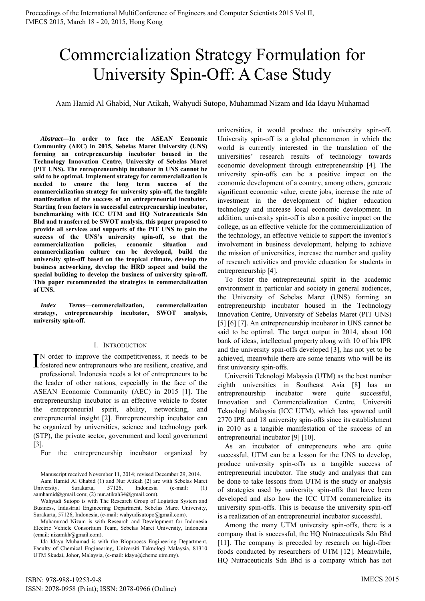# Commercialization Strategy Formulation for University Spin-Off: A Case Study

Aam Hamid Al Ghabid, Nur Atikah, Wahyudi Sutopo, Muhammad Nizam and Ida Idayu Muhamad

*Abstract***—In order to face the ASEAN Economic Community (AEC) in 2015, Sebelas Maret University (UNS) forming an entrepreneurship incubator housed in the Technology Innovation Centre, University of Sebelas Maret (PIT UNS). The entrepreneurship incubator in UNS cannot be said to be optimal. Implement strategy for commercialization is needed to ensure the long term success of the commercialization strategy for university spin-off, the tangible manifestation of the success of an entrepreneurial incubator. Starting from factors in successful entrepreneurship incubator, benchmarking with ICC UTM and HQ Nutraceuticals Sdn Bhd and transferred be SWOT analysis, this paper proposed to provide all services and supports of the PIT UNS to gain the success of the UNS's university spin-off, so that the commercialization policies, economic situation and commercialization culture can be developed, build the university spin-off based on the tropical climate, develop the business networking, develop the HRD aspect and build the special building to develop the business of university spin-off. This paper recommended the strategies in commercialization of UNS.** 

*Index Terms***—commercialization, commercialization strategy, entrepreneurship incubator, SWOT analysis, university spin-off.** 

### I. INTRODUCTION

N order to improve the competitiveness, it needs to be IN order to improve the competitiveness, it needs to be fostered new entrepreneurs who are resilient, creative, and professional. Indonesia needs a lot of entrepreneurs to be the leader of other nations, especially in the face of the ASEAN Economic Community (AEC) in 2015 [1]. The entrepreneurship incubator is an effective vehicle to foster the entrepreneurial spirit, ability, networking, and entrepreneurial insight [2]. Entrepreneurship incubator can be organized by universities, science and technology park (STP), the private sector, government and local government [3].

For the entrepreneurship incubator organized by

Manuscript received November 11, 2014; revised December 29, 2014.

Aam Hamid Al Ghabid (1) and Nur Atikah (2) are with Sebelas Maret University, Surakarta, 57126, Indonesia (e-mail: (1) aamhamid@gmail.com; (2) nur.atikah34@gmail.com).

Wahyudi Sutopo is with The Research Group of Logistics System and Business, Industrial Engineering Department, Sebelas Maret University, Surakarta, 57126, Indonesia, (e-mail: wahyudisutopo@gmail.com).

Muhammad Nizam is with Research and Development for Indonesia Electric Vehicle Consortium Team, Sebelas Maret University, Indonesia (email: nizamkh@gmail.com).

Ida Idayu Muhamad is with the Bioprocess Engineering Department, Faculty of Chemical Engineering, Universiti Teknologi Malaysia, 81310 UTM Skudai, Johor, Malaysia, (e-mail: idayu@cheme.utm.my).

universities, it would produce the university spin-off. University spin-off is a global phenomenon in which the world is currently interested in the translation of the universities' research results of technology towards economic development through entrepreneurship [4]. The university spin-offs can be a positive impact on the economic development of a country, among others, generate significant economic value, create jobs, increase the rate of investment in the development of higher education technology and increase local economic development. In addition, university spin-off is also a positive impact on the college, as an effective vehicle for the commercialization of the technology, an effective vehicle to support the inventor's involvement in business development, helping to achieve the mission of universities, increase the number and quality of research activities and provide education for students in entrepreneurship [4].

To foster the entrepreneurial spirit in the academic environment in particular and society in general audiences, the University of Sebelas Maret (UNS) forming an entrepreneurship incubator housed in the Technology Innovation Centre, University of Sebelas Maret (PIT UNS) [5] [6] [7]. An entrepreneurship incubator in UNS cannot be said to be optimal. The target output in 2014, about 100 bank of ideas, intellectual property along with 10 of his IPR and the university spin-offs developed [3], has not yet to be achieved, meanwhile there are some tenants who will be its first university spin-offs.

Universiti Teknologi Malaysia (UTM) as the best number eighth universities in Southeast Asia [8] has an entrepreneurship incubator were quite successful, Innovation and Commercialization Centre, Universiti Teknologi Malaysia (ICC UTM), which has spawned until 2770 IPR and 18 university spin-offs since its establishment in 2010 as a tangible manifestation of the success of an entrepreneurial incubator [9] [10].

As an incubator of entrepreneurs who are quite successful, UTM can be a lesson for the UNS to develop, produce university spin-offs as a tangible success of entrepreneurial incubator. The study and analysis that can be done to take lessons from UTM is the study or analysis of strategies used by university spin-offs that have been developed and also how the ICC UTM commercialize its university spin-offs. This is because the university spin-off is a realization of an entrepreneurial incubator successful.

Among the many UTM university spin-offs, there is a company that is successful, the HQ Nutraceuticals Sdn Bhd [11]. The company is preceded by research on high-fiber foods conducted by researchers of UTM [12]. Meanwhile, HQ Nutraceuticals Sdn Bhd is a company which has not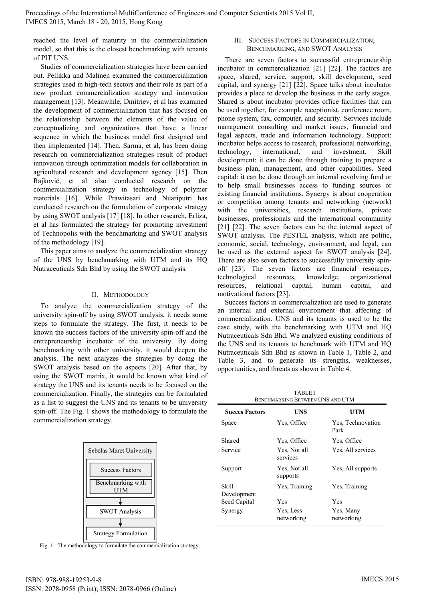reached the level of maturity in the commercialization model, so that this is the closest benchmarking with tenants of PIT UNS.

Studies of commercialization strategies have been carried out. Pellikka and Malinen examined the commercialization strategies used in high-tech sectors and their role as part of a new product commercialization strategy and innovation management [13]. Meanwhile, Dmitriev, et al has examined the development of commercialization that has focused on the relationship between the elements of the value of conceptualizing and organizations that have a linear sequence in which the business model first designed and then implemented [14]. Then, Sarma, et al, has been doing research on commercialization strategies result of product innovation through optimization models for collaboration in agricultural research and development agency [15]. Then Rajkovič, et al also conducted research on the commercialization strategy in technology of polymer materials [16]. While Prawitasari and Nuariputri has conducted research on the formulation of corporate strategy by using SWOT analysis [17] [18]. In other research, Erliza, et al has formulated the strategy for promoting investment of Technopolis with the benchmarking and SWOT analysis of the methodology [19].

This paper aims to analyze the commercialization strategy of the UNS by benchmarking with UTM and its HQ Nutraceuticals Sdn Bhd by using the SWOT analysis.

## II. METHODOLOGY

To analyze the commercialization strategy of the university spin-off by using SWOT analysis, it needs some steps to formulate the strategy. The first, it needs to be known the success factors of the university spin-off and the entrepreneurship incubator of the university. By doing benchmarking with other university, it would deepen the analysis. The next analyzes the strategies by doing the SWOT analysis based on the aspects [20]. After that, by using the SWOT matrix, it would be known what kind of strategy the UNS and its tenants needs to be focused on the commercialization. Finally, the strategies can be formulated as a list to suggest the UNS and its tenants to be university spin-off. The Fig. 1 shows the methodology to formulate the commercialization strategy.



Fig. 1. The methodology to formulate the commercialization strategy.

#### III. SUCCESS FACTORS IN COMMERCIALIZATION, BENCHMARKING, AND SWOT ANALYSIS

There are seven factors to successful entrepreneurship incubator in commercialization [21] [22]. The factors are space, shared, service, support, skill development, seed capital, and synergy [21] [22]. Space talks about incubator provides a place to develop the business in the early stages. Shared is about incubator provides office facilities that can be used together, for example receptionist, conference room, phone system, fax, computer, and security. Services include management consulting and market issues, financial and legal aspects, trade and information technology. Support: incubator helps access to research, professional networking, technology, international, and investment. Skill development: it can be done through training to prepare a business plan, management, and other capabilities. Seed capital: it can be done through an internal revolving fund or to help small businesses access to funding sources or existing financial institutions. Synergy is about cooperation or competition among tenants and networking (network) with the universities, research institutions, private businesses, professionals and the international community [21] [22]. The seven factors can be the internal aspect of SWOT analysis. The PESTEL analysis, which are politic, economic, social, technology, environment, and legal, can be used as the external aspect for SWOT analysis [24]. There are also seven factors to successfully university spinoff [23]. The seven factors are financial resources, technological resources, knowledge, organizational resources, relational capital, human capital, and motivational factors [23].

Success factors in commercialization are used to generate an internal and external environment that affecting of commercialization. UNS and its tenants is used to be the case study, with the benchmarking with UTM and HQ Nutraceuticals Sdn Bhd. We analyzed existing conditions of the UNS and its tenants to benchmark with UTM and HQ Nutraceuticals Sdn Bhd as shown in Table 1, Table 2, and Table 3, and to generate its strengths, weaknesses, opportunities, and threats as shown in Table 4.

TABLE I BENCHMARKING BETWEEN UNS AND UTM

| <b>Succes Factors</b> | UNS                      | UTM                       |  |  |
|-----------------------|--------------------------|---------------------------|--|--|
| Space                 | Yes, Office              | Yes, Technovation<br>Park |  |  |
| Shared                | Yes, Office              | Yes, Office               |  |  |
| Service               | Yes, Not all<br>services | Yes, All services         |  |  |
| Support               | Yes, Not all<br>supports | Yes, All supports         |  |  |
| <b>Skill</b>          | Yes, Training            | Yes, Training             |  |  |
| Development           |                          |                           |  |  |
| Seed Capital          | Yes                      | Yes                       |  |  |
| Synergy               | Yes, Less<br>networking  | Yes, Many<br>networking   |  |  |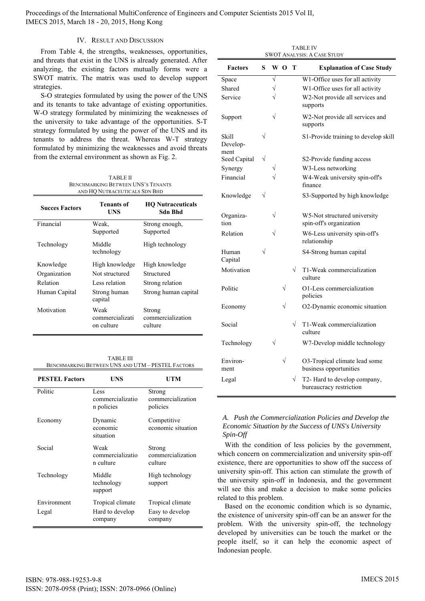## IV. RESULT AND DISCUSSION

From Table 4, the strengths, weaknesses, opportunities, and threats that exist in the UNS is already generated. After analyzing, the existing factors mutually forms were a SWOT matrix. The matrix was used to develop support strategies.

S-O strategies formulated by using the power of the UNS and its tenants to take advantage of existing opportunities. W-O strategy formulated by minimizing the weaknesses of the university to take advantage of the opportunities. S-T strategy formulated by using the power of the UNS and its tenants to address the threat. Whereas W-T strategy formulated by minimizing the weaknesses and avoid threats from the external environment as shown as Fig. 2.

| <b>TABLE II</b>                           |
|-------------------------------------------|
| <b>BENCHMARKING BETWEEN UNS'S TENANTS</b> |
| AND HO NUTRACEUTICALS SDN BHD             |

| <b>Succes Factors</b> | Tenants of<br>UNS                     | <b>HO</b> Nutraceuticals<br>Sdn Bhd    |  |
|-----------------------|---------------------------------------|----------------------------------------|--|
| Financial             | Weak.<br>Supported                    | Strong enough,<br>Supported            |  |
| Technology            | Middle<br>technology                  | High technology                        |  |
| Knowledge             | High knowledge                        | High knowledge                         |  |
| Organization          | Not structured                        | Structured                             |  |
| Relation              | Less relation                         | Strong relation                        |  |
| Human Capital         | Strong human<br>capital               | Strong human capital                   |  |
| Motivation            | Weak<br>commercializati<br>on culture | Strong<br>commercialization<br>culture |  |

TABLE III BENCHMARKING BETWEEN UNS AND UTM – PESTEL FACTORS

| <b>PESTEL Factors</b> | <b>UNS</b>                                     | UTM                                            |
|-----------------------|------------------------------------------------|------------------------------------------------|
| Politic               | Less<br>commercializatio<br>n policies         | Strong<br>commercialization<br>policies        |
| Economy               | Dynamic<br>economic<br>situation               | Competitive<br>economic situation              |
| Social                | Weak<br>commercializatio<br>n culture          | Strong<br>commercialization<br>culture         |
| Technology            | Middle<br>technology<br>support                | High technology<br>support                     |
| Environment<br>Legal  | Tropical climate<br>Hard to develop<br>company | Tropical climate<br>Easy to develop<br>company |

TABLE IV SWOT ANALYSIS: A CASE STUDY

| <b>Factors</b>            | S         |                       | WΟ        | T         | <b>Explanation of Case Study</b>                        |
|---------------------------|-----------|-----------------------|-----------|-----------|---------------------------------------------------------|
| Space                     |           | $\overline{\sqrt{ }}$ |           |           | W1-Office uses for all activity                         |
| Shared                    |           | $\sqrt{}$             |           |           | W1-Office uses for all activity                         |
| Service                   |           | $\sqrt{}$             |           |           | W2-Not provide all services and<br>supports             |
| Support                   |           | $\sqrt{}$             |           |           | W2-Not provide all services and<br>supports             |
| Skill<br>Develop-<br>ment |           |                       |           |           | S1-Provide training to develop skill                    |
| Seed Capital              | $\sqrt{}$ |                       |           |           | S2-Provide funding access                               |
| Synergy                   |           | $\sqrt{}$             |           |           | W3-Less networking                                      |
| Financial                 |           |                       |           |           | W4-Weak university spin-off's<br>finance                |
| Knowledge                 | $\sqrt{}$ |                       |           |           | S3-Supported by high knowledge                          |
| Organiza-<br>tion         |           | $\sqrt{}$             |           |           | W5-Not structured university<br>spin-off's organization |
| Relation                  |           | $\sqrt{}$             |           |           | W6-Less university spin-off's<br>relationship           |
| Human<br>Capital          | V         |                       |           |           | S4-Strong human capital                                 |
| Motivation                |           |                       |           | $\sqrt{}$ | T1-Weak commercialization<br>culture                    |
| Politic                   |           |                       | $\sqrt{}$ |           | O1-Less commercialization<br>policies                   |
| Economy                   |           |                       | $\sqrt{}$ |           | O2-Dynamic economic situation                           |
| Social                    |           |                       |           | $\sqrt{}$ | T1-Weak commercialization<br>culture                    |
| Technology                |           | $\sqrt{}$             |           |           | W7-Develop middle technology                            |
| Environ-<br>ment          |           |                       | $\sqrt{}$ |           | O3-Tropical climate lead some<br>business opportunities |
| Legal                     |           |                       |           | $\sqrt{}$ | T2- Hard to develop company,<br>bureaucracy restriction |

## *A. Push the Commercialization Policies and Develop the Economic Situation by the Success of UNS's University Spin-Off*

With the condition of less policies by the government, which concern on commercialization and university spin-off existence, there are opportunities to show off the success of university spin-off. This action can stimulate the growth of the university spin-off in Indonesia, and the government will see this and make a decision to make some policies related to this problem.

Based on the economic condition which is so dynamic, the existence of university spin-off can be an answer for the problem. With the university spin-off, the technology developed by universities can be touch the market or the people itself, so it can help the economic aspect of Indonesian people.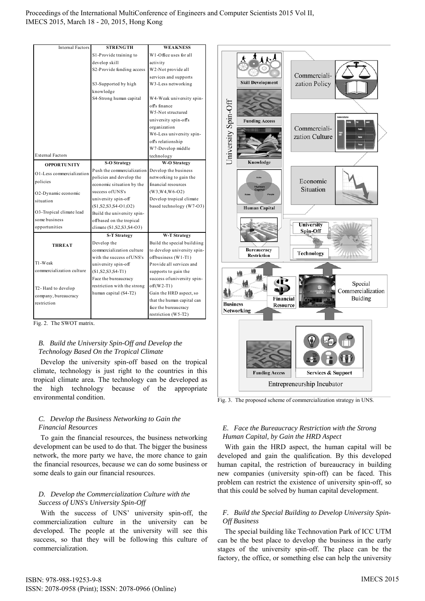| <b>Internal Factors</b>             | <b>STRENGTH</b>                         | <b>WEAKNESS</b>                               |
|-------------------------------------|-----------------------------------------|-----------------------------------------------|
|                                     | S1-Provide training to                  | W1-Office uses for all                        |
|                                     | develop skill                           | activity                                      |
|                                     | S2-Provide funding access               | W2-Not provide all                            |
|                                     |                                         | services and supports                         |
|                                     | S3-Supported by high                    | W3-Less networking                            |
|                                     | knowledge                               |                                               |
|                                     | S4-Strong human capital                 | W4-Weak university spin-                      |
|                                     |                                         | off's finance                                 |
|                                     |                                         | W <sub>5</sub> -Not structured                |
|                                     |                                         | university spin-off's                         |
|                                     |                                         | organization                                  |
|                                     |                                         | W6-Less university spin-                      |
|                                     |                                         | off's relationship                            |
|                                     |                                         | W7-Develop middle                             |
| <b>External Factors</b>             |                                         | technology                                    |
| <b>OPPORTUNITY</b>                  | <b>S-O Strategy</b>                     | <b>W-O Strategy</b>                           |
| O1-Less commercialization           | Push the commercialization              | Develop the business                          |
| policies                            | policies and develop the                | networking to gain the                        |
|                                     | economic situation by the               | financial resources                           |
| O2-Dynamic economic                 | success of UNS's<br>university spin-off | $(W3, W4, W6-02)$<br>Develop tropical climate |
| situation                           | $(S1, S2, S3, S4-01, O2)$               | based technology (W7-O3)                      |
| O3-Tropical climate lead            | Build the university spin-              |                                               |
| some business                       | offbased on the tropical                |                                               |
| opportunities                       | climate (S1, S2, S3, S4-O3)             |                                               |
|                                     | <b>S-T Strategy</b>                     | <b>W-T Strategy</b>                           |
|                                     | Develop the                             | Build the special buildiing                   |
| <b>THREAT</b>                       | commercialization culture               | to develop university spin-                   |
|                                     | with the success of UNS's               | offbusiness (W1-T1)                           |
| T1-Weak                             | university spin-off                     | Provide all services and                      |
| commercialization culture           | $(S1, S2, S3, S4-T1)$                   | supports to gain the                          |
|                                     | Face the bureaucracy                    | success of university spin-                   |
|                                     | restriction with the strong             | $off(W2-T1)$                                  |
| T2-Hard to develop                  | human capital (S4-T2)                   | Gain the HRD aspect, so                       |
| company, bureaucracy<br>restriction |                                         | that the human capital can                    |
|                                     |                                         | face the bureaucracy                          |
|                                     |                                         | restriction (W5-T2)                           |

Fig. 2. The SWOT matrix.

# *B. Build the University Spin-Off and Develop the Technology Based On the Tropical Climate*

Develop the university spin-off based on the tropical climate, technology is just right to the countries in this tropical climate area*.* The technology can be developed as the high technology because of the appropriate environmental condition.

# *C. Develop the Business Networking to Gain the Financial Resources*

To gain the financial resources, the business networking development can be used to do that. The bigger the business network, the more party we have, the more chance to gain the financial resources, because we can do some business or some deals to gain our financial resources.

# *D. Develop the Commercialization Culture with the Success of UNS's University Spin-Off*

With the success of UNS' university spin-off, the commercialization culture in the university can be developed. The people at the university will see this success, so that they will be following this culture of commercialization.



Fig. 3. The proposed scheme of commercialization strategy in UNS.

# *E. Face the Bureaucracy Restriction with the Strong Human Capital, by Gain the HRD Aspect*

With gain the HRD aspect, the human capital will be developed and gain the qualification. By this developed human capital, the restriction of bureaucracy in building new companies (university spin-off) can be faced. This problem can restrict the existence of university spin-off, so that this could be solved by human capital development.

# *F. Build the Special Building to Develop University Spin-Off Business*

The special building like Technovation Park of ICC UTM can be the best place to develop the business in the early stages of the university spin-off. The place can be the factory, the office, or something else can help the university

ISBN: 978-988-19253-9-8 ISSN: 2078-0958 (Print); ISSN: 2078-0966 (Online)